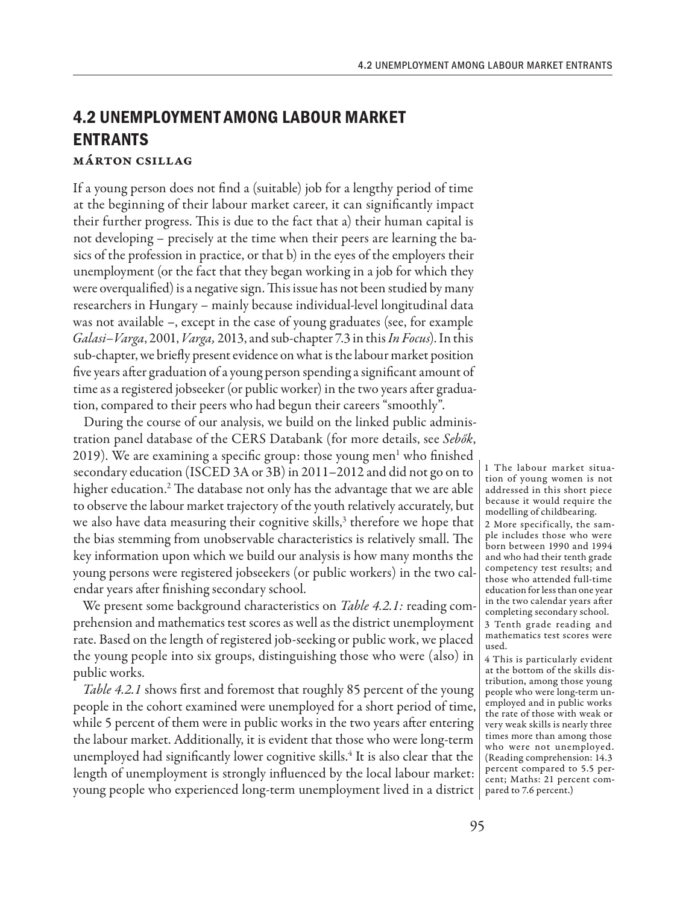# **4.2 UNEMPLOYMENT AMONG LABOUR MARKET ENTRANTS**

## Márton Csillag

If a young person does not find a (suitable) job for a lengthy period of time at the beginning of their labour market career, it can significantly impact their further progress. This is due to the fact that a) their human capital is not developing – precisely at the time when their peers are learning the basics of the profession in practice, or that b) in the eyes of the employers their unemployment (or the fact that they began working in a job for which they were overqualified) is a negative sign. This issue has not been studied by many researchers in Hungary – mainly because individual-level longitudinal data was not available –, except in the case of young graduates (see, for example *Galasi–Varga*, 2001, *Varga,* 2013, and sub-chapter 7.3 in this *In Focus*). In this sub-chapter, we briefly present evidence on what is the labour market position five years after graduation of a young person spending a significant amount of time as a registered jobseeker (or public worker) in the two years after graduation, compared to their peers who had begun their careers "smoothly".

During the course of our analysis, we build on the linked public administration panel database of the CERS Databank (for more details, see *Sebők*, 2019). We are examining a specific group: those young men<sup>1</sup> who finished secondary education (ISCED 3A or 3B) in 2011–2012 and did not go on to higher education.2 The database not only has the advantage that we are able to observe the labour market trajectory of the youth relatively accurately, but we also have data measuring their cognitive skills,<sup>3</sup> therefore we hope that the bias stemming from unobservable characteristics is relatively small. The key information upon which we build our analysis is how many months the young persons were registered jobseekers (or public workers) in the two calendar years after finishing secondary school.

We present some background characteristics on *Table 4.2.1:* reading comprehension and mathematics test scores as well as the district unemployment rate. Based on the length of registered job-seeking or public work, we placed the young people into six groups, distinguishing those who were (also) in public works.

*Table 4.2.1* shows first and foremost that roughly 85 percent of the young people in the cohort examined were unemployed for a short period of time, while 5 percent of them were in public works in the two years after entering the labour market. Additionally, it is evident that those who were long-term unemployed had significantly lower cognitive skills.4 It is also clear that the length of unemployment is strongly influenced by the local labour market: young people who experienced long-term unemployment lived in a district pared to 7.6 percent.)

1 The labour market situation of young women is not addressed in this short piece because it would require the modelling of childbearing.

2 More specifically, the sample includes those who were born between 1990 and 1994 and who had their tenth grade competency test results; and those who attended full-time education for less than one year in the two calendar years after completing secondary school.

3 Tenth grade reading and mathematics test scores were used.

4 This is particularly evident at the bottom of the skills distribution, among those young people who were long-term unemployed and in public works the rate of those with weak or very weak skills is nearly three times more than among those who were not unemployed. (Reading comprehension: 14.3 percent compared to 5.5 percent; Maths: 21 percent com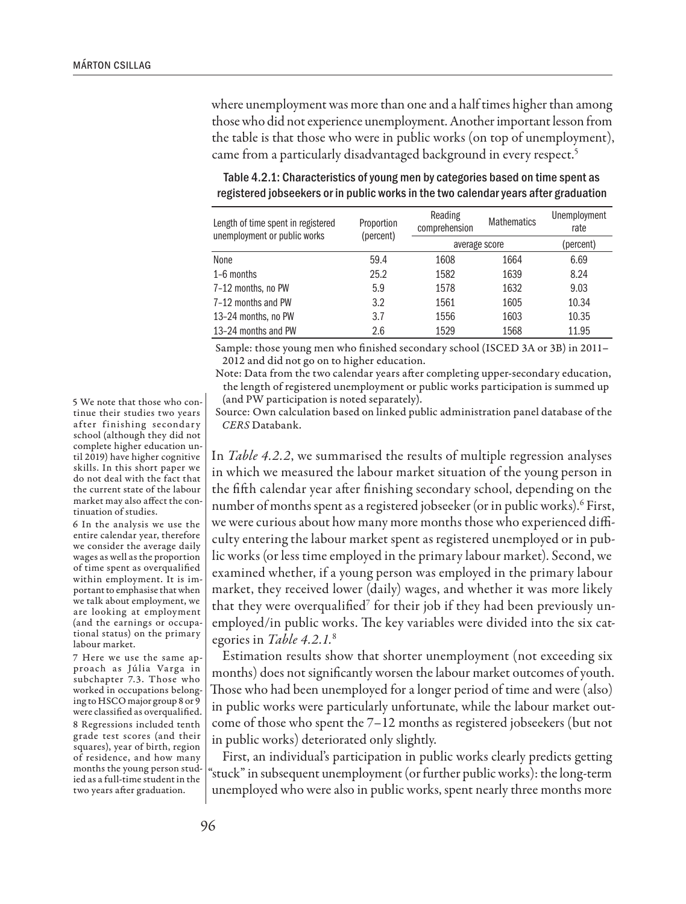where unemployment was more than one and a half times higher than among those who did not experience unemployment. Another important lesson from the table is that those who were in public works (on top of unemployment), came from a particularly disadvantaged background in every respect.<sup>5</sup>

| Length of time spent in registered<br>unemployment or public works | Proportion<br>(percent) | Reading<br>comprehension | <b>Mathematics</b> | Unemployment<br>rate |
|--------------------------------------------------------------------|-------------------------|--------------------------|--------------------|----------------------|
|                                                                    |                         | average score            |                    | (percent)            |
| None                                                               | 59.4                    | 1608                     | 1664               | 6.69                 |
| 1-6 months                                                         | 25.2                    | 1582                     | 1639               | 8.24                 |
| 7-12 months, no PW                                                 | 5.9                     | 1578                     | 1632               | 9.03                 |
| 7-12 months and PW                                                 | 3.2                     | 1561                     | 1605               | 10.34                |
| 13-24 months, no PW                                                | 3.7                     | 1556                     | 1603               | 10.35                |
| 13-24 months and PW                                                | 2.6                     | 1529                     | 1568               | 11.95                |

## Table 4.2.1: Characteristics of young men by categories based on time spent as registered jobseekers or in public works in the two calendar years after graduation

Sample: those young men who finished secondary school (ISCED 3A or 3B) in 2011– 2012 and did not go on to higher education.

Note: Data from the two calendar years after completing upper-secondary education, the length of registered unemployment or public works participation is summed up (and PW participation is noted separately).

Source: Own calculation based on linked public administration panel database of the *CERS* Databank.

In *Table 4.2.2*, we summarised the results of multiple regression analyses in which we measured the labour market situation of the young person in the fifth calendar year after finishing secondary school, depending on the number of months spent as a registered jobseeker (or in public works).<sup>6</sup> First, we were curious about how many more months those who experienced difficulty entering the labour market spent as registered unemployed or in public works (or less time employed in the primary labour market). Second, we examined whether, if a young person was employed in the primary labour market, they received lower (daily) wages, and whether it was more likely that they were overqualified $^7$  for their job if they had been previously unemployed/in public works. The key variables were divided into the six categories in *Table 4.2.1.*<sup>8</sup>

Estimation results show that shorter unemployment (not exceeding six months) does not significantly worsen the labour market outcomes of youth. Those who had been unemployed for a longer period of time and were (also) in public works were particularly unfortunate, while the labour market outcome of those who spent the 7–12 months as registered jobseekers (but not in public works) deteriorated only slightly.

First, an individual's participation in public works clearly predicts getting "stuck" in subsequent unemployment (or further public works): the long-term unemployed who were also in public works, spent nearly three months more

5 We note that those who continue their studies two years after finishing secondary school (although they did not complete higher education until 2019) have higher cognitive skills. In this short paper we do not deal with the fact that the current state of the labour market may also affect the continuation of studies.

6 In the analysis we use the entire calendar year, therefore we consider the average daily wages as well as the proportion of time spent as overqualified within employment. It is important to emphasise that when we talk about employment, we are looking at employment (and the earnings or occupational status) on the primary labour market.

7 Here we use the same approach as Júlia Varga in subchapter 7.3. Those who worked in occupations belonging to HSCO major group 8 or 9 were classified as overqualified. 8 Regressions included tenth grade test scores (and their squares), year of birth, region of residence, and how many months the young person studied as a full-time student in the two years after graduation.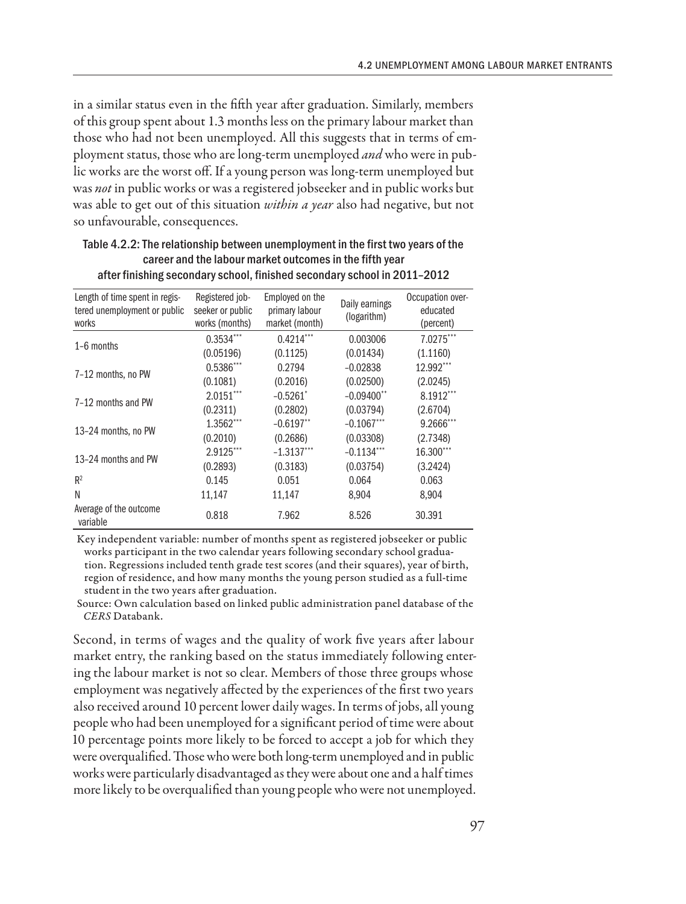in a similar status even in the fifth year after graduation. Similarly, members of this group spent about 1.3 months less on the primary labour market than those who had not been unemployed. All this suggests that in terms of employment status, those who are long-term unemployed *and* who were in public works are the worst off. If a young person was long-term unemployed but was *not* in public works or was a registered jobseeker and in public works but was able to get out of this situation *within a year* also had negative, but not so unfavourable, consequences.

| Length of time spent in regis-<br>tered unemployment or public<br>works | Registered job-<br>seeker or public<br>works (months) | Employed on the<br>primary labour<br>market (month) | Daily earnings<br>(logarithm) | Occupation over-<br>educated<br>(percent) |
|-------------------------------------------------------------------------|-------------------------------------------------------|-----------------------------------------------------|-------------------------------|-------------------------------------------|
| $1-6$ months                                                            | $0.3534***$                                           | $0.4214***$                                         | 0.003006                      | 7.0275***                                 |
|                                                                         | (0.05196)                                             | (0.1125)                                            | (0.01434)                     | (1.1160)                                  |
| 7-12 months, no PW                                                      | $0.5386***$                                           | 0.2794                                              | $-0.02838$                    | $12.992***$                               |
|                                                                         | (0.1081)                                              | (0.2016)                                            | (0.02500)                     | (2.0245)                                  |
| 7-12 months and PW                                                      | $2.0151***$                                           | $-0.5261$ <sup>*</sup>                              | $-0.09400$ <sup>**</sup>      | 8.1912***                                 |
|                                                                         | (0.2311)                                              | (0.2802)                                            | (0.03794)                     | (2.6704)                                  |
| 13-24 months, no PW                                                     | $1.3562***$                                           | $-0.6197$ <sup>**</sup>                             | $-0.1067$ ***                 | 9.2666***                                 |
|                                                                         | (0.2010)                                              | (0.2686)                                            | (0.03308)                     | (2.7348)                                  |
| 13-24 months and PW                                                     | 2.9125***                                             | $-1.3137***$                                        | $-0.1134***$                  | 16.300***                                 |
|                                                                         | (0.2893)                                              | (0.3183)                                            | (0.03754)                     | (3.2424)                                  |
| $R^2$                                                                   | 0.145                                                 | 0.051                                               | 0.064                         | 0.063                                     |
| N                                                                       | 11,147                                                | 11,147                                              | 8,904                         | 8,904                                     |
| Average of the outcome<br>variable                                      | 0.818                                                 | 7.962                                               | 8.526                         | 30.391                                    |

### Table 4.2.2: The relationship between unemployment in the first two years of the career and the labour market outcomes in the fifth year after finishing secondary school, finished secondary school in 2011–2012

Key independent variable: number of months spent as registered jobseeker or public works participant in the two calendar years following secondary school graduation. Regressions included tenth grade test scores (and their squares), year of birth, region of residence, and how many months the young person studied as a full-time student in the two years after graduation.

Source: Own calculation based on linked public administration panel database of the *CERS* Databank.

Second, in terms of wages and the quality of work five years after labour market entry, the ranking based on the status immediately following entering the labour market is not so clear. Members of those three groups whose employment was negatively affected by the experiences of the first two years also received around 10 percent lower daily wages. In terms of jobs, all young people who had been unemployed for a significant period of time were about 10 percentage points more likely to be forced to accept a job for which they were overqualified. Those who were both long-term unemployed and in public works were particularly disadvantaged as they were about one and a half times more likely to be overqualified than young people who were not unemployed.